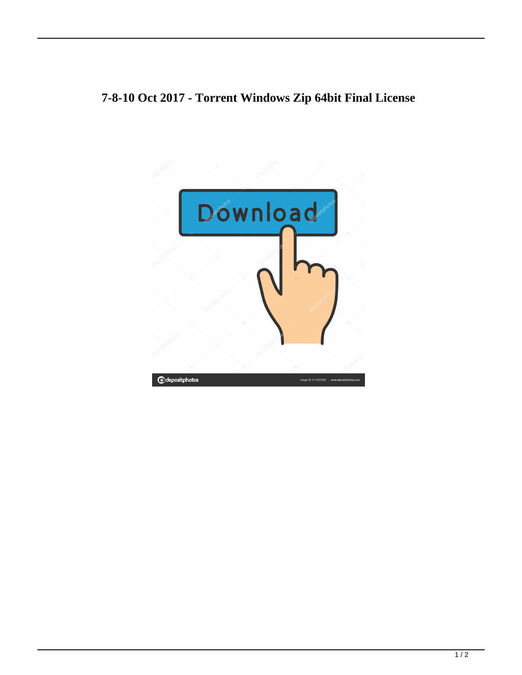## **7-8-10 Oct 2017 - Torrent Windows Zip 64bit Final License**